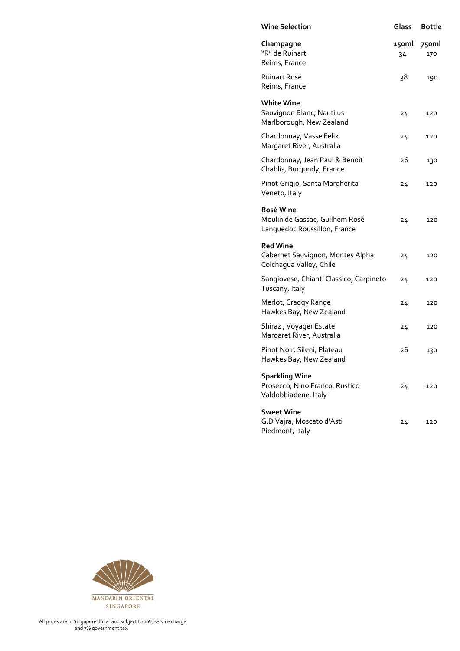| <b>Wine Selection</b>                                                           | Glass       | <b>Bottle</b> |
|---------------------------------------------------------------------------------|-------------|---------------|
| Champagne<br>"R" de Ruinart<br>Reims, France                                    | 150ml<br>34 | 750ml<br>170  |
| <b>Ruinart Rosé</b><br>Reims, France                                            | 38          | 190           |
| <b>White Wine</b><br>Sauvignon Blanc, Nautilus<br>Marlborough, New Zealand      | 24          | 120           |
| Chardonnay, Vasse Felix<br>Margaret River, Australia                            | 24          | 120           |
| Chardonnay, Jean Paul & Benoit<br>Chablis, Burgundy, France                     | 26          | 130           |
| Pinot Grigio, Santa Margherita<br>Veneto, Italy                                 | 24          | 120           |
| Rosé Wine<br>Moulin de Gassac, Guilhem Rosé<br>Languedoc Roussillon, France     | 24          | 120           |
| <b>Red Wine</b><br>Cabernet Sauvignon, Montes Alpha<br>Colchagua Valley, Chile  | 24          | 120           |
| Sangiovese, Chianti Classico, Carpineto<br>Tuscany, Italy                       | 24          | 120           |
| Merlot, Craggy Range<br>Hawkes Bay, New Zealand                                 | 24          | 120           |
| Shiraz, Voyager Estate<br>Margaret River, Australia                             | 24          | 120           |
| Pinot Noir, Sileni, Plateau<br>Hawkes Bay, New Zealand                          | 26          | 130           |
| <b>Sparkling Wine</b><br>Prosecco, Nino Franco, Rustico<br>Valdobbiadene, Italy | 24          | 120           |
| <b>Sweet Wine</b><br>G.D Vajra, Moscato d'Asti<br>Piedmont, Italy               | 24          | 120           |

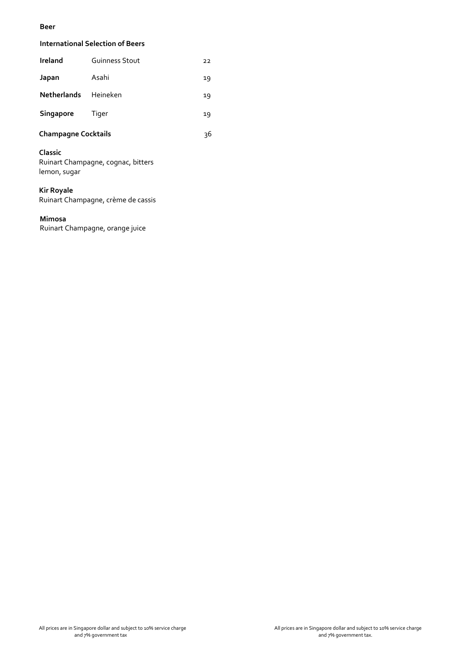### **Beer**

## **International Selection of Beers**

| Ireland     | <b>Guinness Stout</b> | 22 |
|-------------|-----------------------|----|
| Japan       | Asahi                 | 19 |
| Netherlands | Heineken              | 19 |
| Singapore   | Tiger                 | 19 |

# **Champagne Cocktails** 36

### **Classic**

Ruinart Champagne, cognac, bitters lemon, sugar

## **Kir Royale**

Ruinart Champagne, crème de cassis

### **Mimosa**

Ruinart Champagne, orange juice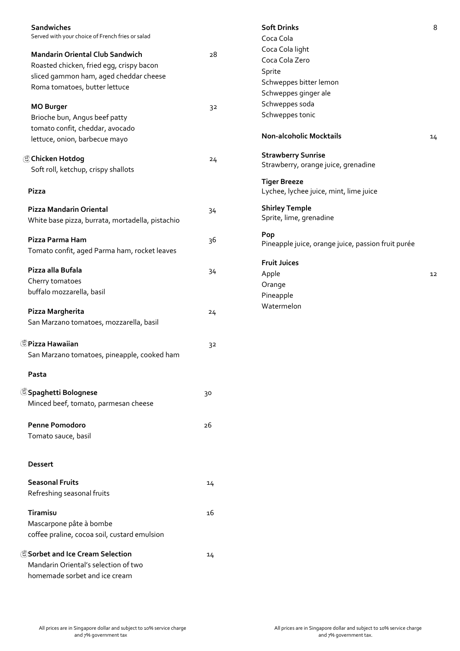| Sandwiches<br>Served with your choice of French fries or salad |    | <b>Soft Drinks</b><br>Coca Cola                    | 8  |
|----------------------------------------------------------------|----|----------------------------------------------------|----|
| <b>Mandarin Oriental Club Sandwich</b>                         | 28 | Coca Cola light                                    |    |
| Roasted chicken, fried egg, crispy bacon                       |    | Coca Cola Zero                                     |    |
| sliced gammon ham, aged cheddar cheese                         |    | Sprite                                             |    |
| Roma tomatoes, butter lettuce                                  |    | Schweppes bitter lemon                             |    |
|                                                                |    | Schweppes ginger ale                               |    |
| <b>MO Burger</b>                                               | 32 | Schweppes soda                                     |    |
| Brioche bun, Angus beef patty                                  |    | Schweppes tonic                                    |    |
| tomato confit, cheddar, avocado                                |    |                                                    |    |
| lettuce, onion, barbecue mayo                                  |    | <b>Non-alcoholic Mocktails</b>                     | 14 |
|                                                                |    | <b>Strawberry Sunrise</b>                          |    |
| Chicken Hotdog                                                 | 24 | Strawberry, orange juice, grenadine                |    |
| Soft roll, ketchup, crispy shallots                            |    |                                                    |    |
|                                                                |    | <b>Tiger Breeze</b>                                |    |
| Pizza                                                          |    | Lychee, lychee juice, mint, lime juice             |    |
| <b>Pizza Mandarin Oriental</b>                                 | 34 | <b>Shirley Temple</b>                              |    |
| White base pizza, burrata, mortadella, pistachio               |    | Sprite, lime, grenadine                            |    |
|                                                                |    | Pop                                                |    |
| Pizza Parma Ham                                                | 36 | Pineapple juice, orange juice, passion fruit purée |    |
| Tomato confit, aged Parma ham, rocket leaves                   |    |                                                    |    |
| Pizza alla Bufala                                              |    | <b>Fruit Juices</b>                                |    |
|                                                                | 34 | Apple                                              | 12 |
| Cherry tomatoes                                                |    | Orange                                             |    |
| buffalo mozzarella, basil                                      |    | Pineapple                                          |    |
| Pizza Margherita                                               | 24 | Watermelon                                         |    |
| San Marzano tomatoes, mozzarella, basil                        |    |                                                    |    |
|                                                                |    |                                                    |    |
| <b><i>OPizza Hawaiian</i></b>                                  | 32 |                                                    |    |
| San Marzano tomatoes, pineapple, cooked ham                    |    |                                                    |    |
| Pasta                                                          |    |                                                    |    |
| <sup>5</sup> Spaghetti Bolognese                               | 30 |                                                    |    |
| Minced beef, tomato, parmesan cheese                           |    |                                                    |    |
|                                                                |    |                                                    |    |
| <b>Penne Pomodoro</b>                                          | 26 |                                                    |    |
| Tomato sauce, basil                                            |    |                                                    |    |
|                                                                |    |                                                    |    |
| <b>Dessert</b>                                                 |    |                                                    |    |
| <b>Seasonal Fruits</b>                                         |    |                                                    |    |
|                                                                | 14 |                                                    |    |
| Refreshing seasonal fruits                                     |    |                                                    |    |
| Tiramisu                                                       | 16 |                                                    |    |
| Mascarpone pâte à bombe                                        |    |                                                    |    |
| coffee praline, cocoa soil, custard emulsion                   |    |                                                    |    |
|                                                                |    |                                                    |    |
| Sorbet and Ice Cream Selection                                 | 14 |                                                    |    |
| Mandarin Oriental's selection of two                           |    |                                                    |    |
| homemade sorbet and ice cream                                  |    |                                                    |    |
|                                                                |    |                                                    |    |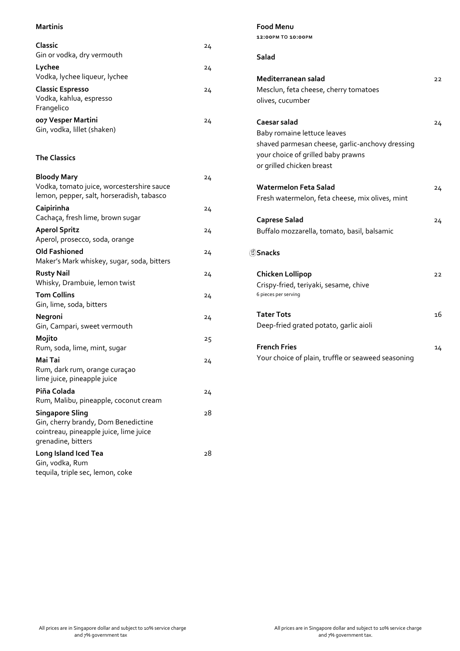# **Martinis Classic** 24 Gin or vodka, dry vermouth Lychee 24 Vodka, lychee liqueur, lychee **Classic Espresso** 24 Vodka, kahlua, espresso Frangelico **007 Vesper Martini** 24 Gin, vodka, lillet (shaken) **The Classics Bloody Mary** 24 Vodka, tomato juice, worcestershire sauce lemon, pepper, salt, horseradish, tabasco **Caipirinha** 24 Cachaça, fresh lime, brown sugar **Aperol Spritz** 24 Aperol, prosecco, soda, orange **Old Fashioned** 24 Maker's Mark whiskey, sugar, soda, bitters **Rusty Nail** 24 Whisky, Drambuie, lemon twist **Tom Collins** 24 Gin, lime, soda, bitters **Negroni** 24 Gin, Campari, sweet vermouth **Mojito** 25 Rum, soda, lime, mint, sugar **Mai Tai** 24 Rum, dark rum, orange curaçao lime juice, pineapple juice **Piña Colada** 24 Rum, Malibu, pineapple, coconut cream **Singapore Sling** 28 Gin, cherry brandy, Dom Benedictine cointreau, pineapple juice, lime juice grenadine, bitters **Long Island Iced Tea** 28 Gin, vodka, Rum tequila, triple sec, lemon, coke

|                                          | 12:00PM TO 10:00PM                                                                                                                                |    |
|------------------------------------------|---------------------------------------------------------------------------------------------------------------------------------------------------|----|
| Salad                                    |                                                                                                                                                   |    |
| olives, cucumber                         | Mediterranean salad<br>Mesclun, feta cheese, cherry tomatoes                                                                                      | 22 |
| Caesar salad                             | Baby romaine lettuce leaves<br>shaved parmesan cheese, garlic-anchovy dressing<br>your choice of grilled baby prawns<br>or grilled chicken breast | 24 |
|                                          | <b>Watermelon Feta Salad</b><br>Fresh watermelon, feta cheese, mix olives, mint                                                                   | 24 |
| <b>Caprese Salad</b>                     | Buffalo mozzarella, tomato, basil, balsamic                                                                                                       | 24 |
| <b>55 Snacks</b>                         |                                                                                                                                                   |    |
| Chicken Lollipop<br>6 pieces per serving | Crispy-fried, teriyaki, sesame, chive                                                                                                             | 22 |
| <b>Tater Tots</b>                        | Deep-fried grated potato, garlic aioli                                                                                                            | 16 |
| <b>French Fries</b>                      | Your choice of plain, truffle or seaweed seasoning                                                                                                | 14 |
|                                          |                                                                                                                                                   |    |

**Food Menu**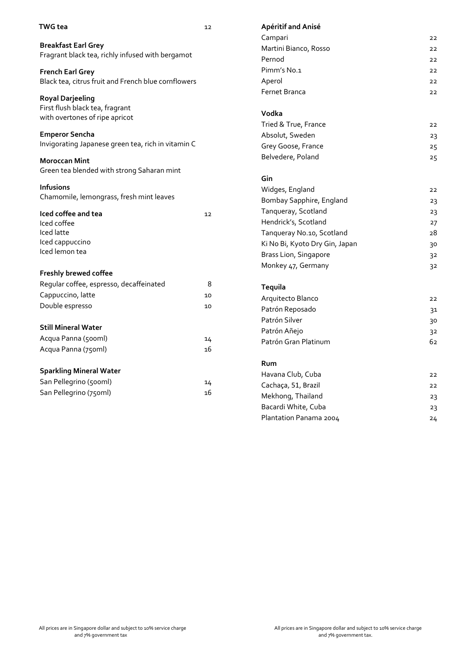| <b>TWG</b> tea                                             | 12 | Apéritif and Anisé             |                |
|------------------------------------------------------------|----|--------------------------------|----------------|
|                                                            |    | Campari                        | 22             |
| <b>Breakfast Earl Grey</b>                                 |    | Martini Bianco, Rosso          | 22             |
| Fragrant black tea, richly infused with bergamot           |    | Pernod                         | 22             |
| <b>French Earl Grey</b>                                    |    | Pimm's No.1                    | 22             |
| Black tea, citrus fruit and French blue cornflowers        |    | Aperol                         | 22             |
|                                                            |    | <b>Fernet Branca</b>           | 22             |
| <b>Royal Darjeeling</b><br>First flush black tea, fragrant |    |                                |                |
| with overtones of ripe apricot                             |    | Vodka                          |                |
|                                                            |    | Tried & True, France           | 22             |
| <b>Emperor Sencha</b>                                      |    | Absolut, Sweden                | 23             |
| Invigorating Japanese green tea, rich in vitamin C         |    | Grey Goose, France             | 25             |
| <b>Moroccan Mint</b>                                       |    | Belvedere, Poland              | 25             |
| Green tea blended with strong Saharan mint                 |    |                                |                |
|                                                            |    | Gin                            |                |
| <b>Infusions</b>                                           |    | Widges, England                | 22             |
| Chamomile, lemongrass, fresh mint leaves                   |    | Bombay Sapphire, England       | 23             |
| Iced coffee and tea                                        | 12 | Tanqueray, Scotland            | 23             |
| Iced coffee                                                |    | Hendrick's, Scotland           | 27             |
| Iced latte                                                 |    | Tanqueray No.10, Scotland      | 28             |
| Iced cappuccino                                            |    | Ki No Bi, Kyoto Dry Gin, Japan | 30             |
| Iced lemon tea                                             |    | Brass Lion, Singapore          | 32             |
|                                                            |    | Monkey 47, Germany             | 3 <sup>2</sup> |
| Freshly brewed coffee                                      |    |                                |                |
| Regular coffee, espresso, decaffeinated                    | 8  | Tequila                        |                |
| Cappuccino, latte                                          | 10 | Arquitecto Blanco              | 22             |
| Double espresso                                            | 10 | Patrón Reposado                | 31             |
|                                                            |    | Patrón Silver                  | 30             |
| <b>Still Mineral Water</b>                                 |    | Patrón Añejo                   | 32             |
| Acqua Panna (500ml)                                        | 14 | Patrón Gran Platinum           | 62             |
| Acqua Panna (750ml)                                        | 16 |                                |                |

| Rum                    |    |
|------------------------|----|
| Havana Club, Cuba      | フフ |
| Cachaça, 51, Brazil    | フフ |
| Mekhong, Thailand      | 23 |
| Bacardi White, Cuba    | 23 |
| Plantation Panama 2004 | 24 |
|                        |    |

**Sparkling Mineral Water**

San Pellegrino (500ml) 14 San Pellegrino (750ml) 16